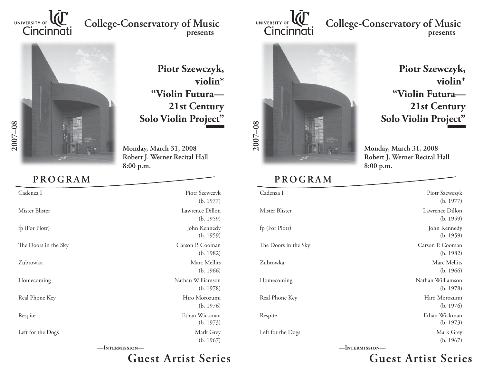

## **College-Conservatory of Music presents**



**PROGRAM**

 **Piotr Szewczyk, violin\*"Violin Futura—21st Century Solo Violin Project"**

**Monday, March 31, 2008 Robert J. Werner Recital Hall 8:00 p.m.**

| Cadenza I            | Piotr Szewczyk    |
|----------------------|-------------------|
|                      | (b. 1977)         |
| Mister Blister       | Lawrence Dillon   |
|                      | (b. 1959)         |
| fp (For Piotr)       | John Kennedy      |
|                      | (b. 1959)         |
| The Doors in the Sky | Carson P. Cooman  |
|                      | (b. 1982)         |
| Zubrowka             | Marc Mellits      |
|                      | (b. 1966)         |
| Homecoming           | Nathan Williamson |
|                      | (b. 1978)         |
| Real Phone Key       | Hiro Morozumi     |
|                      | (b. 1976)         |
| Respite              | Ethan Wickman     |
|                      | (b. 1973)         |
| Left for the Dogs    | Mark Grey         |
|                      | (b. 1967)         |

**—Intermission—**

## **Guest Artist Series**